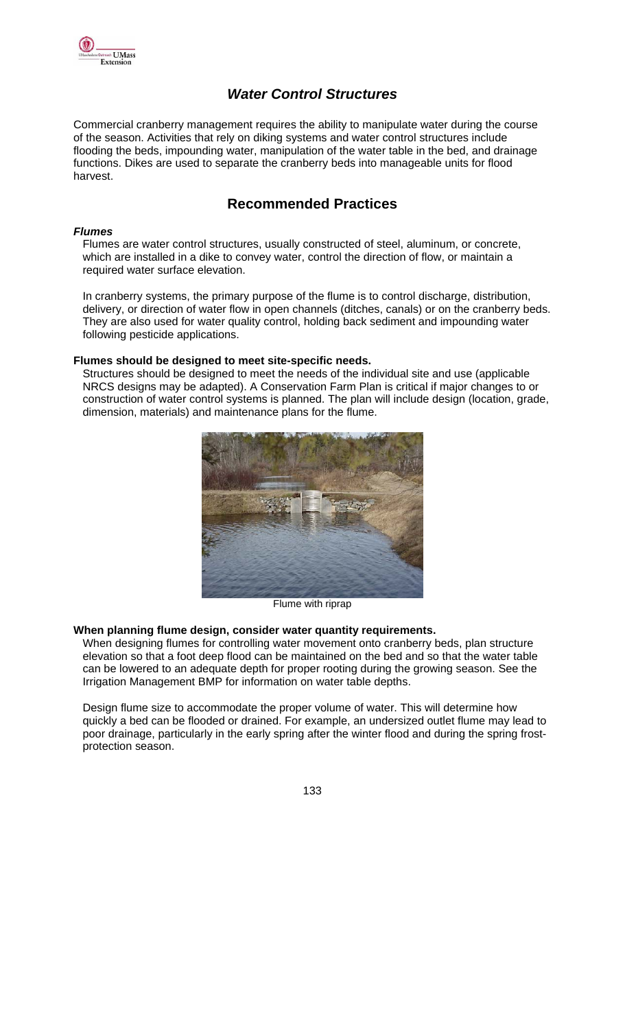

# *Water Control Structures*

Commercial cranberry management requires the ability to manipulate water during the course of the season. Activities that rely on diking systems and water control structures include flooding the beds, impounding water, manipulation of the water table in the bed, and drainage functions. Dikes are used to separate the cranberry beds into manageable units for flood harvest.

## **Recommended Practices**

#### *Flumes*

Flumes are water control structures, usually constructed of steel, aluminum, or concrete, which are installed in a dike to convey water, control the direction of flow, or maintain a required water surface elevation.

In cranberry systems, the primary purpose of the flume is to control discharge, distribution, delivery, or direction of water flow in open channels (ditches, canals) or on the cranberry beds. They are also used for water quality control, holding back sediment and impounding water following pesticide applications.

#### **Flumes should be designed to meet site-specific needs.**

Structures should be designed to meet the needs of the individual site and use (applicable NRCS designs may be adapted). A Conservation Farm Plan is critical if major changes to or construction of water control systems is planned. The plan will include design (location, grade, dimension, materials) and maintenance plans for the flume.



Flume with riprap

### **When planning flume design, consider water quantity requirements.**

When designing flumes for controlling water movement onto cranberry beds, plan structure elevation so that a foot deep flood can be maintained on the bed and so that the water table can be lowered to an adequate depth for proper rooting during the growing season. See the Irrigation Management BMP for information on water table depths.

Design flume size to accommodate the proper volume of water. This will determine how quickly a bed can be flooded or drained. For example, an undersized outlet flume may lead to poor drainage, particularly in the early spring after the winter flood and during the spring frostprotection season.

133 - <u>133 - 133 - 133 - 133 - 133 - 133 - 133 - 133 - 133 - 133 - 133 - 133 - 133 - 133 - 133 - 13</u>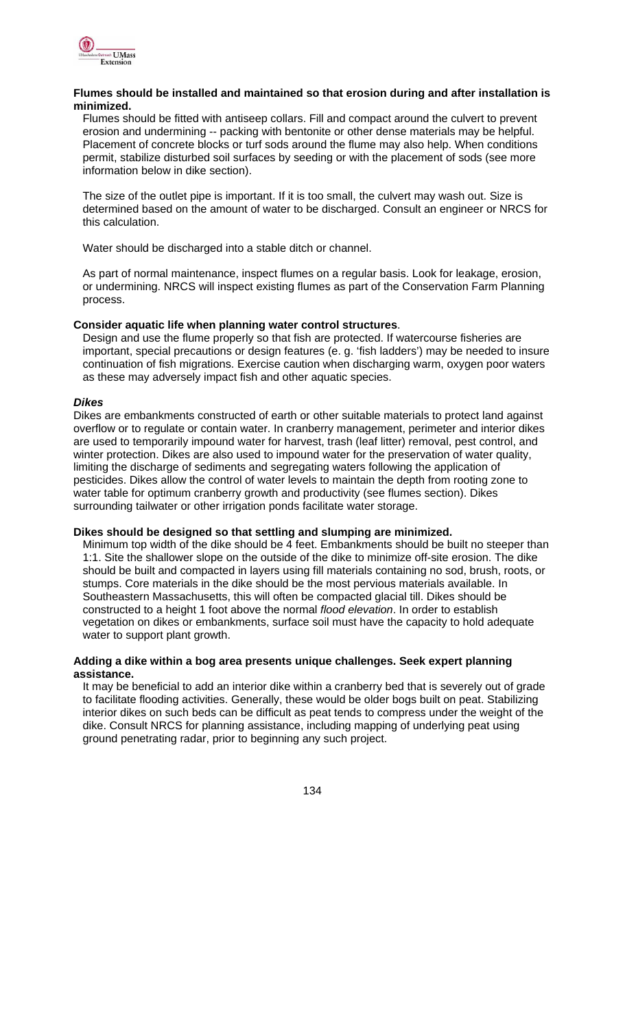

#### **Flumes should be installed and maintained so that erosion during and after installation is minimized.**

Flumes should be fitted with antiseep collars. Fill and compact around the culvert to prevent erosion and undermining -- packing with bentonite or other dense materials may be helpful. Placement of concrete blocks or turf sods around the flume may also help. When conditions permit, stabilize disturbed soil surfaces by seeding or with the placement of sods (see more information below in dike section).

The size of the outlet pipe is important. If it is too small, the culvert may wash out. Size is determined based on the amount of water to be discharged. Consult an engineer or NRCS for this calculation.

Water should be discharged into a stable ditch or channel.

As part of normal maintenance, inspect flumes on a regular basis. Look for leakage, erosion, or undermining. NRCS will inspect existing flumes as part of the Conservation Farm Planning process.

#### **Consider aquatic life when planning water control structures**.

Design and use the flume properly so that fish are protected. If watercourse fisheries are important, special precautions or design features (e. g. 'fish ladders') may be needed to insure continuation of fish migrations. Exercise caution when discharging warm, oxygen poor waters as these may adversely impact fish and other aquatic species.

#### *Dikes*

Dikes are embankments constructed of earth or other suitable materials to protect land against overflow or to regulate or contain water. In cranberry management, perimeter and interior dikes are used to temporarily impound water for harvest, trash (leaf litter) removal, pest control, and winter protection. Dikes are also used to impound water for the preservation of water quality, limiting the discharge of sediments and segregating waters following the application of pesticides. Dikes allow the control of water levels to maintain the depth from rooting zone to water table for optimum cranberry growth and productivity (see flumes section). Dikes surrounding tailwater or other irrigation ponds facilitate water storage.

#### **Dikes should be designed so that settling and slumping are minimized.**

Minimum top width of the dike should be 4 feet. Embankments should be built no steeper than 1:1. Site the shallower slope on the outside of the dike to minimize off-site erosion. The dike should be built and compacted in layers using fill materials containing no sod, brush, roots, or stumps. Core materials in the dike should be the most pervious materials available. In Southeastern Massachusetts, this will often be compacted glacial till. Dikes should be constructed to a height 1 foot above the normal *flood elevation*. In order to establish vegetation on dikes or embankments, surface soil must have the capacity to hold adequate water to support plant growth.

#### **Adding a dike within a bog area presents unique challenges. Seek expert planning assistance.**

It may be beneficial to add an interior dike within a cranberry bed that is severely out of grade to facilitate flooding activities. Generally, these would be older bogs built on peat. Stabilizing interior dikes on such beds can be difficult as peat tends to compress under the weight of the dike. Consult NRCS for planning assistance, including mapping of underlying peat using ground penetrating radar, prior to beginning any such project.

<u>134 - Johann Stein, Amerikaansk politiker (</u>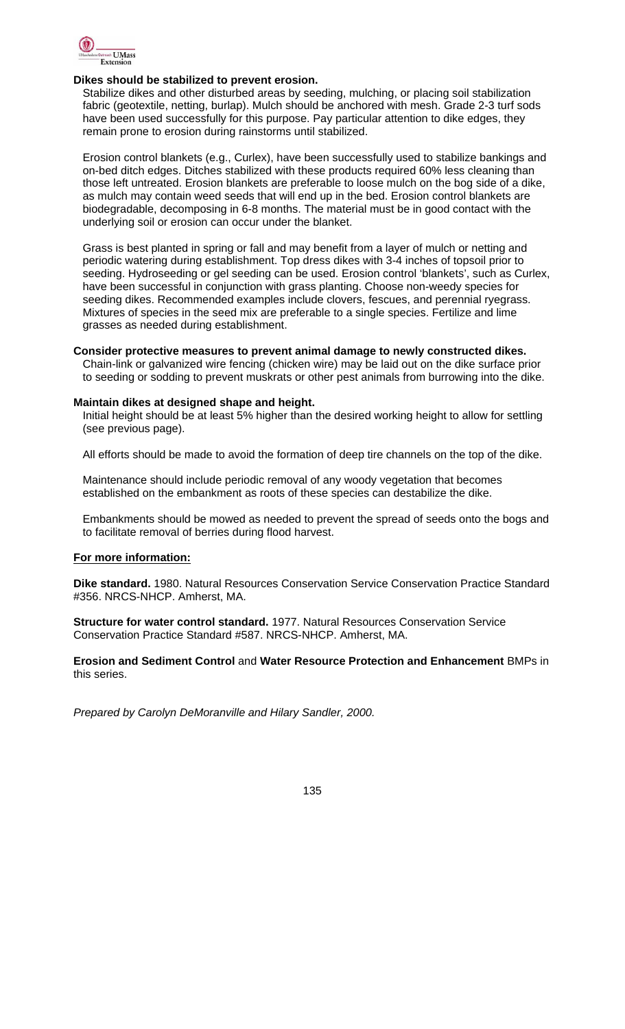

#### **Dikes should be stabilized to prevent erosion.**

Stabilize dikes and other disturbed areas by seeding, mulching, or placing soil stabilization fabric (geotextile, netting, burlap). Mulch should be anchored with mesh. Grade 2-3 turf sods have been used successfully for this purpose. Pay particular attention to dike edges, they remain prone to erosion during rainstorms until stabilized.

Erosion control blankets (e.g., Curlex), have been successfully used to stabilize bankings and on-bed ditch edges. Ditches stabilized with these products required 60% less cleaning than those left untreated. Erosion blankets are preferable to loose mulch on the bog side of a dike, as mulch may contain weed seeds that will end up in the bed. Erosion control blankets are biodegradable, decomposing in 6-8 months. The material must be in good contact with the underlying soil or erosion can occur under the blanket.

Grass is best planted in spring or fall and may benefit from a layer of mulch or netting and periodic watering during establishment. Top dress dikes with 3-4 inches of topsoil prior to seeding. Hydroseeding or gel seeding can be used. Erosion control 'blankets', such as Curlex, have been successful in conjunction with grass planting. Choose non-weedy species for seeding dikes. Recommended examples include clovers, fescues, and perennial ryegrass. Mixtures of species in the seed mix are preferable to a single species. Fertilize and lime grasses as needed during establishment.

#### **Consider protective measures to prevent animal damage to newly constructed dikes.**

Chain-link or galvanized wire fencing (chicken wire) may be laid out on the dike surface prior to seeding or sodding to prevent muskrats or other pest animals from burrowing into the dike.

#### **Maintain dikes at designed shape and height.**

Initial height should be at least 5% higher than the desired working height to allow for settling (see previous page).

All efforts should be made to avoid the formation of deep tire channels on the top of the dike.

Maintenance should include periodic removal of any woody vegetation that becomes established on the embankment as roots of these species can destabilize the dike.

Embankments should be mowed as needed to prevent the spread of seeds onto the bogs and to facilitate removal of berries during flood harvest.

#### **For more information:**

**Dike standard.** 1980. Natural Resources Conservation Service Conservation Practice Standard #356. NRCS-NHCP. Amherst, MA.

**Structure for water control standard.** 1977. Natural Resources Conservation Service Conservation Practice Standard #587. NRCS-NHCP. Amherst, MA.

**Erosion and Sediment Control** and **Water Resource Protection and Enhancement** BMPs in this series.

*Prepared by Carolyn DeMoranville and Hilary Sandler, 2000.* 

135 - <u>135 - 136 - 137 - 138 - 139 - 139 - 139 - 139 - 139 - 139 - 139 - 139 - 139 - 139 - 139 - 139 - 139 - 1</u>